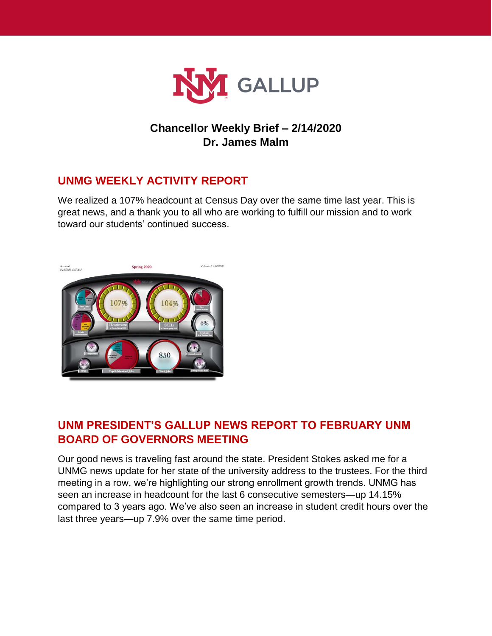

# **Chancellor Weekly Brief – 2/14/2020 Dr. James Malm**

# **UNMG WEEKLY ACTIVITY REPORT**

We realized a 107% headcount at Census Day over the same time last year. This is great news, and a thank you to all who are working to fulfill our mission and to work toward our students' continued success.



# **UNM PRESIDENT'S GALLUP NEWS REPORT TO FEBRUARY UNM BOARD OF GOVERNORS MEETING**

Our good news is traveling fast around the state. President Stokes asked me for a UNMG news update for her state of the university address to the trustees. For the third meeting in a row, we're highlighting our strong enrollment growth trends. UNMG has seen an increase in headcount for the last 6 consecutive semesters—up 14.15% compared to 3 years ago. We've also seen an increase in student credit hours over the last three years—up 7.9% over the same time period.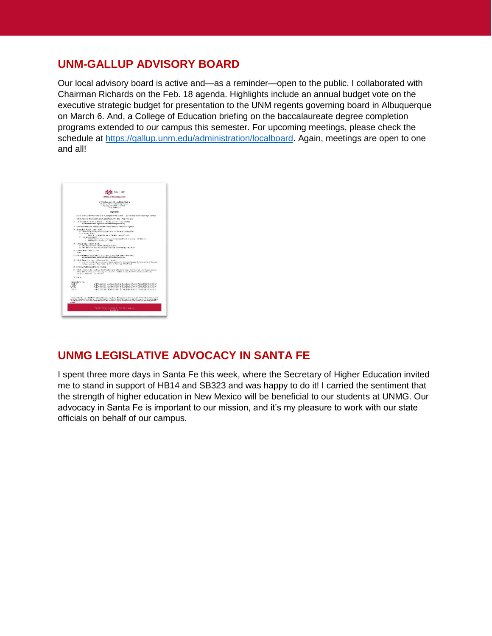#### **UNM-GALLUP ADVISORY BOARD**

Our local advisory board is active and—as a reminder—open to the public. I collaborated with Chairman Richards on the Feb. 18 agenda. Highlights include an annual budget vote on the executive strategic budget for presentation to the UNM regents governing board in Albuquerque on March 6. And, a College of Education briefing on the baccalaureate degree completion programs extended to our campus this semester. For upcoming meetings, please check the schedule at [https://gallup.unm.edu/administration/localboard.](https://gallup.unm.edu/administration/localboard) Again, meetings are open to one and all!



# **UNMG LEGISLATIVE ADVOCACY IN SANTA FE**

I spent three more days in Santa Fe this week, where the Secretary of Higher Education invited me to stand in support of HB14 and SB323 and was happy to do it! I carried the sentiment that the strength of higher education in New Mexico will be beneficial to our students at UNMG. Our advocacy in Santa Fe is important to our mission, and it's my pleasure to work with our state officials on behalf of our campus.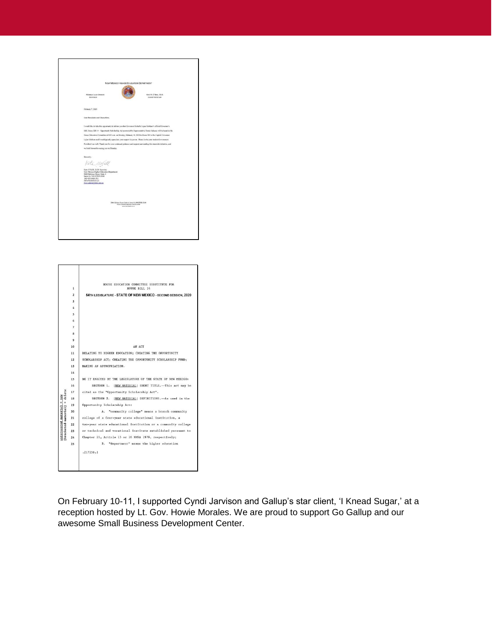



On February 10-11, I supported Cyndi Jarvison and Gallup's star client, 'I Knead Sugar,' at a reception hosted by Lt. Gov. Howie Morales. We are proud to support Go Gallup and our awesome Small Business Development Center.